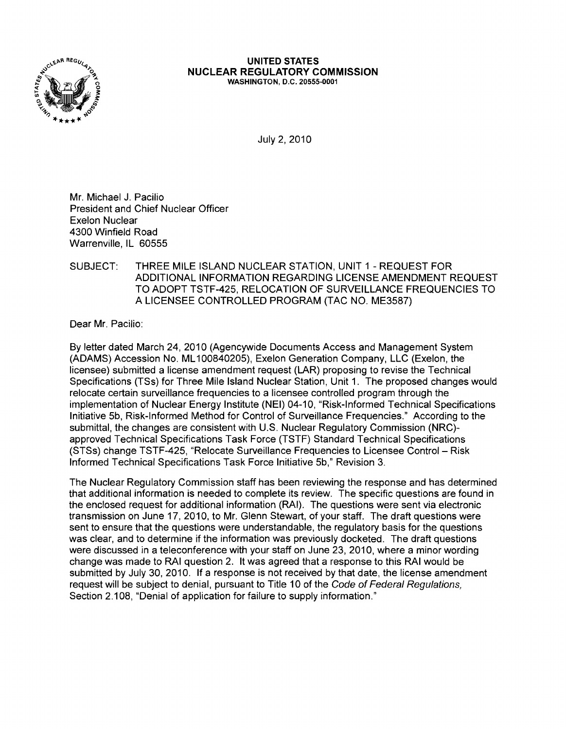

#### UNITED STATES NUCLEAR REGULATORY COMMISSION WASHINGTON, D.C. 20555·0001

July 2,2010

Mr. Michael J. Pacilio President and Chief Nuclear Officer Exelon Nuclear 4300 Winfield Road Warrenville, IL 60555

### SUBJECT: THREE MILE ISLAND NUCLEAR STATION, UNIT 1 - REQUEST FOR ADDITIONAL INFORMATION REGARDING LICENSE AMENDMENT REQUEST TO ADOPT TSTF-425, RELOCATION OF SURVEILLANCE FREQUENCIES TO A LICENSEE CONTROLLED PROGRAM (TAC NO. ME3587)

Dear Mr. Pacilio:

By letter dated March 24, 2010 (Agencywide Documents Access and Management System (ADAMS) Accession No. ML100840205), Exelon Generation Company, LLC (Exelon, the licensee) submitted a license amendment request (LAR) proposing to revise the Technical Specifications (TSs) for Three Mile Island Nuclear Station, Unit 1. The proposed changes would relocate certain surveillance frequencies to a licensee controlled program through the implementation of Nuclear Energy Institute (NEI) 04-10, "Risk-Informed Technical Specifications Initiative 5b, Risk-Informed Method for Control of Surveillance Frequencies." According to the submittal, the changes are consistent with U.S. Nuclear Regulatory Commission (NRC)approved Technical Specifications Task Force (TSTF) Standard Technical Specifications (STSs) change TSTF-425, "Relocate Surveillance Frequencies to Licensee Control - Risk Informed Technical Specifications Task Force Initiative 5b," Revision 3.

The Nuclear Regulatory Commission staff has been reviewing the response and has determined that additional information is needed to complete its review. The specific questions are found in the enclosed request for additional information (RAI). The questions were sent via electronic transmission on June 17, 2010, to Mr. Glenn Stewart, of your staff. The draft questions were sent to ensure that the questions were understandable, the regulatory basis for the questions was clear, and to determine if the information was previously docketed. The draft questions were discussed in a teleconference with your staff on June 23, 2010, where a minor wording change was made to RAI question 2. It was agreed that a response to this RAI would be submitted by July 30, 2010. If a response is not received by that date, the license amendment request will be subject to denial, pursuant to Title 10 of the Code of Federal Regulations, Section 2.108, "Denial of application for failure to supply information."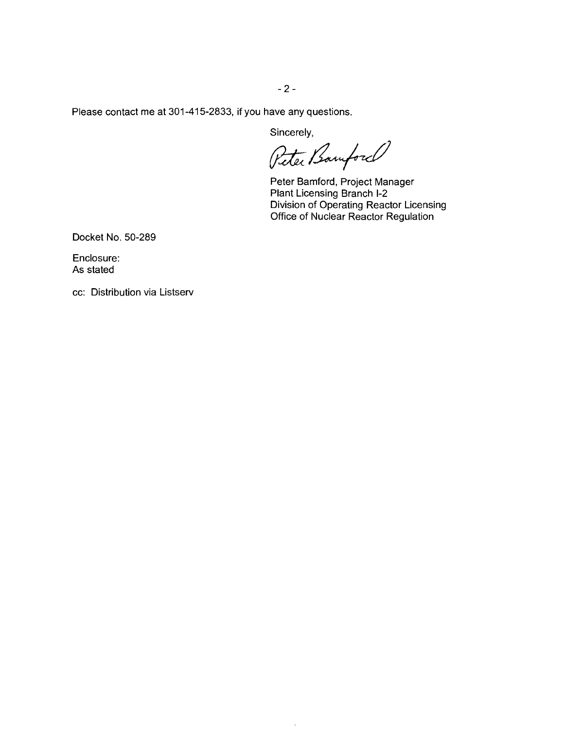$- 2 -$ 

Please contact me at 301-415-2833, if you have any questions.

Sincerely,

Peter Bamford

Peter Bamford, Project Manager Plant Licensing Branch 1-2 Division of Operating Reactor Licensing Office of Nuclear Reactor Regulation

Docket No. 50-289

Enclosure: As stated

cc: Distribution via Listserv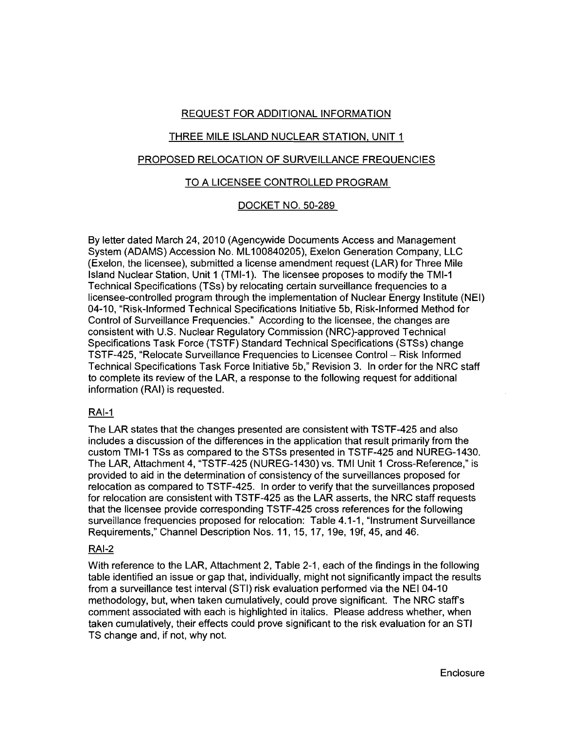# REQUEST FOR ADDITIONAL INFORMATION

# THREE MILE ISLAND NUCLEAR STATION, UNIT 1

## PROPOSED RELOCATION OF SURVEILLANCE FREQUENCIES

## TO A LICENSEE CONTROLLED PROGRAM

## DOCKET NO. 50-289

By letter dated March 24, 2010 (Agencywide Documents Access and Management System (ADAMS) Accession No. ML100840205), Exelon Generation Company, LLC (Exelon, the licensee), submitted a license amendment request (LAR) for Three Mile Island Nuclear Station, Unit 1 (TMI-1). The licensee proposes to modify the TMI-1 Technical Specifications (TSs) by relocating certain surveillance frequencies to a licensee-controlled program through the implementation of Nuclear Energy Institute (NEI) 04-10, "Risk-Informed Technical Specifications Initiative 5b, Risk-Informed Method for Control of Surveillance Frequencies." According to the licensee, the changes are consistent with U.S. Nuclear Regulatory Commission (NRC)-approved Technical Specifications Task Force (TSTF) Standard Technical Specifications (STSs) change TSTF-425, "Relocate Surveillance Frequencies to Licensee Control- Risk Informed Technical Specifications Task Force Initiative 5b," Revision 3. In order for the NRC staff to complete its review of the LAR, a response to the following request for additional information (RAI) is requested.

#### RAI-1

The LAR states that the changes presented are consistent with TSTF-425 and also includes a discussion of the differences in the application that result primarily from the custom TMI-1 TSs as compared to the STSs presented in TSTF-425 and NUREG-1430. The LAR, Attachment 4, "TSTF-425 (NUREG-1430) vs. TMI Unit 1 Cross-Reference," is provided to aid in the determination of consistency of the surveillances proposed for relocation as compared to TSTF-425. In order to verify that the surveillances proposed for relocation are consistent with TSTF-425 as the LAR asserts, the NRC staff requests that the licensee provide corresponding TSTF-425 cross references for the following surveillance frequencies proposed for relocation: Table 4.1-1, "Instrument Surveillance Requirements," Channel Description Nos. 11, 15, 17, 1ge, 19f, 45, and 46.

# RAI-2

With reference to the LAR, Attachment 2, Table 2-1, each of the findings in the following table identified an issue or gap that, individually, might not significantly impact the results from a surveillance test interval (STI) risk evaluation performed via the NEI 04-10 methodology, but, when taken cumulatively, could prove significant. The NRC staffs comment associated with each is highlighted in italics. Please address whether, when taken cumulatively, their effects could prove significant to the risk evaluation for an STI TS change and, if not, why not.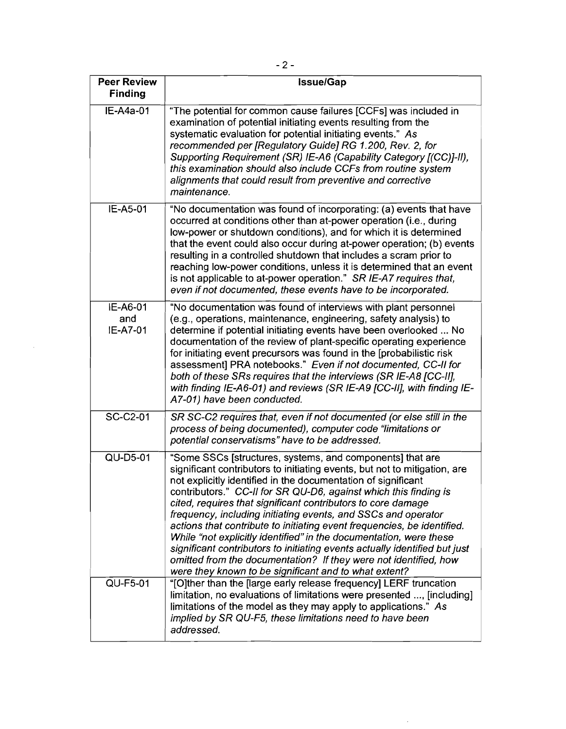| <b>Peer Review</b><br><b>Finding</b> | <b>Issue/Gap</b>                                                                                                                                                                                                                                                                                                                                                                                                                                                                                                                                                                                                                                                                                                                                                         |  |  |  |
|--------------------------------------|--------------------------------------------------------------------------------------------------------------------------------------------------------------------------------------------------------------------------------------------------------------------------------------------------------------------------------------------------------------------------------------------------------------------------------------------------------------------------------------------------------------------------------------------------------------------------------------------------------------------------------------------------------------------------------------------------------------------------------------------------------------------------|--|--|--|
| IE-A4a-01                            | "The potential for common cause failures [CCFs] was included in<br>examination of potential initiating events resulting from the<br>systematic evaluation for potential initiating events." As<br>recommended per [Regulatory Guide] RG 1.200, Rev. 2, for<br>Supporting Requirement (SR) IE-A6 (Capability Category [(CC)]-II),<br>this examination should also include CCFs from routine system<br>alignments that could result from preventive and corrective<br>maintenance.                                                                                                                                                                                                                                                                                         |  |  |  |
| IE-A5-01                             | "No documentation was found of incorporating: (a) events that have<br>occurred at conditions other than at-power operation (i.e., during<br>low-power or shutdown conditions), and for which it is determined<br>that the event could also occur during at-power operation; (b) events<br>resulting in a controlled shutdown that includes a scram prior to<br>reaching low-power conditions, unless it is determined that an event<br>is not applicable to at-power operation." SR IE-A7 requires that,<br>even if not documented, these events have to be incorporated.                                                                                                                                                                                                |  |  |  |
| IE-A6-01<br>and<br><b>IE-A7-01</b>   | "No documentation was found of interviews with plant personnel<br>(e.g., operations, maintenance, engineering, safety analysis) to<br>determine if potential initiating events have been overlooked  No<br>documentation of the review of plant-specific operating experience<br>for initiating event precursors was found in the [probabilistic risk<br>assessment] PRA notebooks." Even if not documented, CC-II for<br>both of these SRs requires that the interviews (SR IE-A8 [CC-II],<br>with finding IE-A6-01) and reviews (SR IE-A9 [CC-II], with finding IE-<br>A7-01) have been conducted.                                                                                                                                                                     |  |  |  |
| SC-C2-01                             | SR SC-C2 requires that, even if not documented (or else still in the<br>process of being documented), computer code "limitations or<br>potential conservatisms" have to be addressed.                                                                                                                                                                                                                                                                                                                                                                                                                                                                                                                                                                                    |  |  |  |
| QU-D5-01                             | "Some SSCs [structures, systems, and components] that are<br>significant contributors to initiating events, but not to mitigation, are<br>not explicitly identified in the documentation of significant<br>contributors." CC-II for SR QU-D6, against which this finding is<br>cited, requires that significant contributors to core damage<br>frequency, including initiating events, and SSCs and operator<br>actions that contribute to initiating event frequencies, be identified.<br>While "not explicitly identified" in the documentation, were these<br>significant contributors to initiating events actually identified but just<br>omitted from the documentation? If they were not identified, how<br>were they known to be significant and to what extent? |  |  |  |
| QU-F5-01                             | "[O]ther than the [large early release frequency] LERF truncation<br>limitation, no evaluations of limitations were presented , [including]<br>limitations of the model as they may apply to applications." As<br>implied by SR QU-F5, these limitations need to have been<br>addressed.                                                                                                                                                                                                                                                                                                                                                                                                                                                                                 |  |  |  |

 $\mathcal{A}$ 

 $\sim$   $\sim$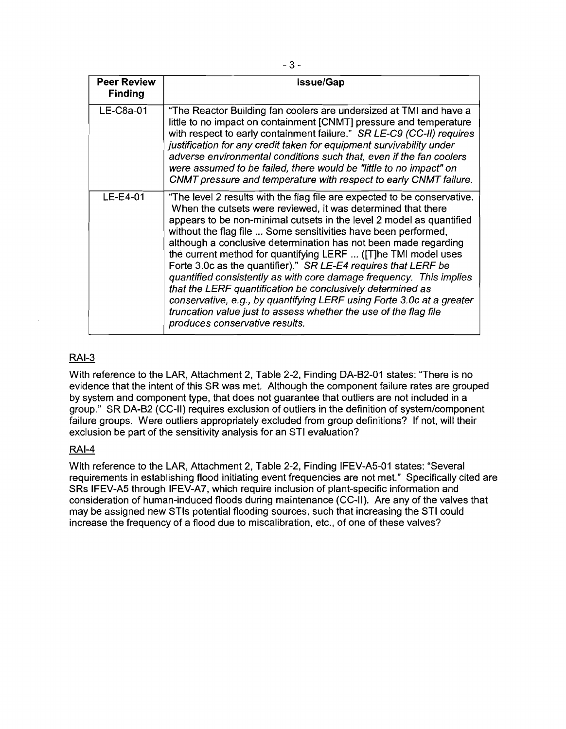| <b>Peer Review</b><br><b>Finding</b> | <b>Issue/Gap</b>                                                                                                                                                                                                                                                                                                                                                                                                                                                                                                                                                                                                                                                                                                                                                                                              |  |  |  |
|--------------------------------------|---------------------------------------------------------------------------------------------------------------------------------------------------------------------------------------------------------------------------------------------------------------------------------------------------------------------------------------------------------------------------------------------------------------------------------------------------------------------------------------------------------------------------------------------------------------------------------------------------------------------------------------------------------------------------------------------------------------------------------------------------------------------------------------------------------------|--|--|--|
| $LE-C8a-01$                          | "The Reactor Building fan coolers are undersized at TMI and have a<br>little to no impact on containment [CNMT] pressure and temperature<br>with respect to early containment failure." SR LE-C9 (CC-II) requires<br>justification for any credit taken for equipment survivability under<br>adverse environmental conditions such that, even if the fan coolers<br>were assumed to be failed, there would be "little to no impact" on<br>CNMT pressure and temperature with respect to early CNMT failure.                                                                                                                                                                                                                                                                                                   |  |  |  |
| $LE-E4-01$                           | "The level 2 results with the flag file are expected to be conservative.<br>When the cutsets were reviewed, it was determined that there<br>appears to be non-minimal cutsets in the level 2 model as quantified<br>without the flag file  Some sensitivities have been performed,<br>although a conclusive determination has not been made regarding<br>the current method for quantifying LERF  ([T]he TMI model uses<br>Forte 3.0c as the quantifier)." SR LE-E4 requires that LERF be<br>quantified consistently as with core damage frequency. This implies<br>that the LERF quantification be conclusively determined as<br>conservative, e.g., by quantifying LERF using Forte 3.0c at a greater<br>truncation value just to assess whether the use of the flag file<br>produces conservative results. |  |  |  |

# RAI-3

With reference to the LAR, Attachment 2, Table 2-2, Finding DA-B2-01 states: "There is no evidence that the intent of this SR was met. Although the component failure rates are grouped by system and component type, that does not guarantee that outliers are not included in a group." SR DA-B2 (CC-II) requires exclusion of outliers in the definition of systemlcomponent failure groups. Were outliers appropriately excluded from group definitions? If not, will their exclusion be part of the sensitivity analysis for an STI evaluation?

#### RAI-4

With reference to the LAR, Attachment 2, Table 2-2, Finding IFEV-A5-01 states: "Several requirements in establishing flood initiating event frequencies are not met." Specifically cited are SRs IFEV-A5 through IFEV-A7, which require inclusion of plant-specific information and consideration of human-induced floods during maintenance (CC-II). Are any of the valves that may be assigned new STls potential flooding sources, such that increasing the STI could increase the frequency of a flood due to miscalibration, etc., of one of these valves?